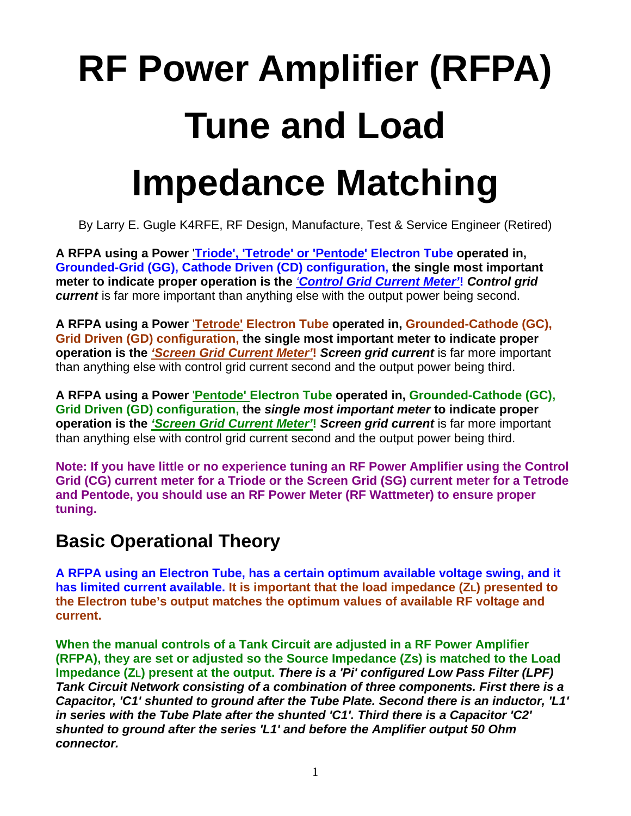# **RF Power Amplifier (RFPA) Tune and Load Impedance Matching**

By Larry E. Gugle K4RFE, RF Design, Manufacture, Test & Service Engineer (Retired)

**A RFPA using a Power** '**Triode', 'Tetrode' or 'Pentode' Electron Tube operated in, Grounded-Grid (GG), Cathode Driven (CD) configuration, the single most important meter to indicate proper operation is the** *'Control Grid Current Meter'***!** *Control grid current* is far more important than anything else with the output power being second.

**A RFPA using a Power** '**Tetrode' Electron Tube operated in, Grounded-Cathode (GC), Grid Driven (GD) configuration, the single most important meter to indicate proper operation is the** *'Screen Grid Current Meter'***!** *Screen grid current* is far more important than anything else with control grid current second and the output power being third.

**A RFPA using a Power** '**Pentode' Electron Tube operated in, Grounded-Cathode (GC), Grid Driven (GD) configuration, the** *single most important meter* **to indicate proper operation is the** *'Screen Grid Current Meter'***!** *Screen grid current* is far more important than anything else with control grid current second and the output power being third.

**Note: If you have little or no experience tuning an RF Power Amplifier using the Control Grid (CG) current meter for a Triode or the Screen Grid (SG) current meter for a Tetrode and Pentode, you should use an RF Power Meter (RF Wattmeter) to ensure proper tuning.** 

## **Basic Operational Theory**

**A RFPA using an Electron Tube, has a certain optimum available voltage swing, and it has limited current available. It is important that the load impedance (ZL) presented to the Electron tube's output matches the optimum values of available RF voltage and current.**

**When the manual controls of a Tank Circuit are adjusted in a RF Power Amplifier (RFPA), they are set or adjusted so the Source Impedance (Zs) is matched to the Load Impedance (ZL) present at the output.** *There is a 'Pi' configured Low Pass Filter (LPF) Tank Circuit Network consisting of a combination of three components. First there is a Capacitor, 'C1' shunted to ground after the Tube Plate. Second there is an inductor, 'L1' in series with the Tube Plate after the shunted 'C1'. Third there is a Capacitor 'C2' shunted to ground after the series 'L1' and before the Amplifier output 50 Ohm connector.*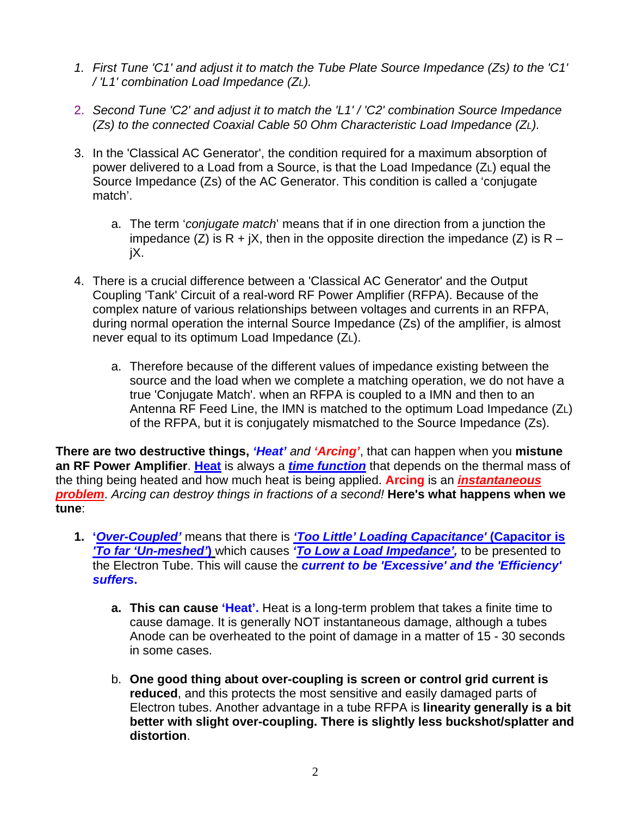- *1. First Tune 'C1' and adjust it to match the Tube Plate Source Impedance (Zs) to the 'C1' / 'L1' combination Load Impedance (ZL).*
- 2. *Second Tune 'C2' and adjust it to match the 'L1' / 'C2' combination Source Impedance (Zs) to the connected Coaxial Cable 50 Ohm Characteristic Load Impedance (ZL).*
- 3. In the 'Classical AC Generator', the condition required for a maximum absorption of power delivered to a Load from a Source, is that the Load Impedance (ZL) equal the Source Impedance (Zs) of the AC Generator. This condition is called a 'conjugate match'.
	- a. The term '*conjugate match*' means that if in one direction from a junction the impedance (Z) is R + jX, then in the opposite direction the impedance (Z) is R – jX.
- 4. There is a crucial difference between a 'Classical AC Generator' and the Output Coupling 'Tank' Circuit of a real-word RF Power Amplifier (RFPA). Because of the complex nature of various relationships between voltages and currents in an RFPA, during normal operation the internal Source Impedance (Zs) of the amplifier, is almost never equal to its optimum Load Impedance (ZL).
	- a. Therefore because of the different values of impedance existing between the source and the load when we complete a matching operation, we do not have a true 'Conjugate Match'. when an RFPA is coupled to a IMN and then to an Antenna RF Feed Line, the IMN is matched to the optimum Load Impedance (ZL) of the RFPA, but it is conjugately mismatched to the Source Impedance (Zs).

**There are two destructive things,** *'Heat' and 'Arcing'*, that can happen when you **mistune an RF Power Amplifier**. **Heat** is always a *time function* that depends on the thermal mass of the thing being heated and how much heat is being applied. **Arcing** is an *instantaneous problem*. *Arcing can destroy things in fractions of a second!* **Here's what happens when we tune**:

- **1. '***Over-Coupled'* means that there is *'Too Little' Loading Capacitance'* **(Capacitor is**  *'To far 'Un-meshed'***)** which causes *'To Low a Load Impedance',* to be presented to the Electron Tube. This will cause the *current to be 'Excessive' and the 'Efficiency' suffers***.**
	- **a. This can cause 'Heat'.** Heat is a long-term problem that takes a finite time to cause damage. It is generally NOT instantaneous damage, although a tubes Anode can be overheated to the point of damage in a matter of 15 - 30 seconds in some cases.
	- b. **One good thing about over-coupling is screen or control grid current is reduced**, and this protects the most sensitive and easily damaged parts of Electron tubes. Another advantage in a tube RFPA is **linearity generally is a bit better with slight over-coupling. There is slightly less buckshot/splatter and distortion**.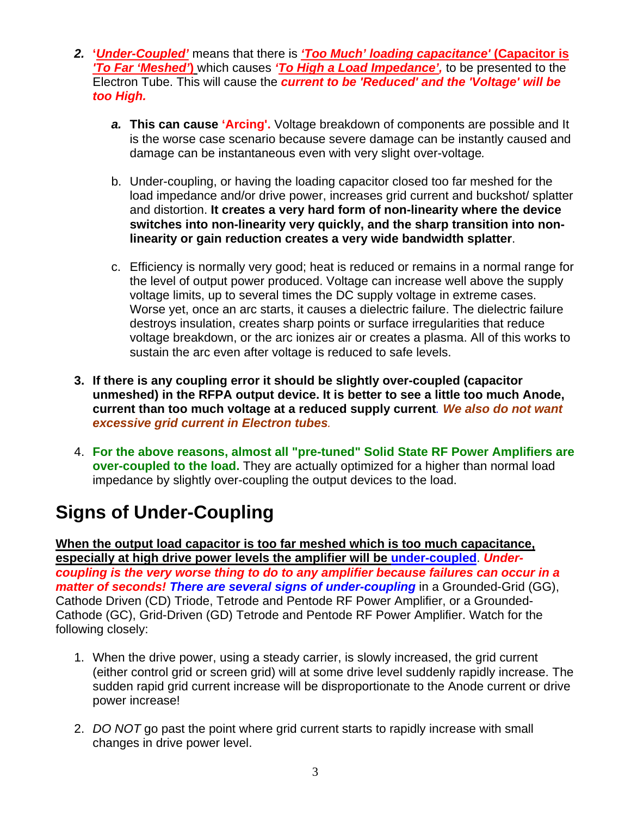- *2.* **'***Under-Coupled'* means that there is *'Too Much' loading capacitance'* **(Capacitor is**  *'To Far 'Meshed'***)** which causes *'To High a Load Impedance',* to be presented to the Electron Tube. This will cause the *current to be 'Reduced' and the 'Voltage' will be too High.*
	- *a.* **This can cause 'Arcing'.** Voltage breakdown of components are possible and It is the worse case scenario because severe damage can be instantly caused and damage can be instantaneous even with very slight over-voltage*.*
	- b. Under-coupling, or having the loading capacitor closed too far meshed for the load impedance and/or drive power, increases grid current and buckshot/ splatter and distortion. **It creates a very hard form of non-linearity where the device switches into non-linearity very quickly, and the sharp transition into nonlinearity or gain reduction creates a very wide bandwidth splatter**.
	- c. Efficiency is normally very good; heat is reduced or remains in a normal range for the level of output power produced. Voltage can increase well above the supply voltage limits, up to several times the DC supply voltage in extreme cases. Worse yet, once an arc starts, it causes a dielectric failure. The dielectric failure destroys insulation, creates sharp points or surface irregularities that reduce voltage breakdown, or the arc ionizes air or creates a plasma. All of this works to sustain the arc even after voltage is reduced to safe levels.
- **3. If there is any coupling error it should be slightly over-coupled (capacitor unmeshed) in the RFPA output device. It is better to see a little too much Anode, current than too much voltage at a reduced supply current***. We also do not want excessive grid current in Electron tubes.*
- 4. **For the above reasons, almost all "pre-tuned" Solid State RF Power Amplifiers are over-coupled to the load.** They are actually optimized for a higher than normal load impedance by slightly over-coupling the output devices to the load.

# **Signs of Under-Coupling**

**When the output load capacitor is too far meshed which is too much capacitance, especially at high drive power levels the amplifier will be under-coupled**. *Undercoupling is the very worse thing to do to any amplifier because failures can occur in a matter of seconds! There are several signs of under-coupling* in a Grounded-Grid (GG), Cathode Driven (CD) Triode, Tetrode and Pentode RF Power Amplifier, or a Grounded-Cathode (GC), Grid-Driven (GD) Tetrode and Pentode RF Power Amplifier. Watch for the following closely:

- 1. When the drive power, using a steady carrier, is slowly increased, the grid current (either control grid or screen grid) will at some drive level suddenly rapidly increase. The sudden rapid grid current increase will be disproportionate to the Anode current or drive power increase!
- 2. *DO NOT* go past the point where grid current starts to rapidly increase with small changes in drive power level.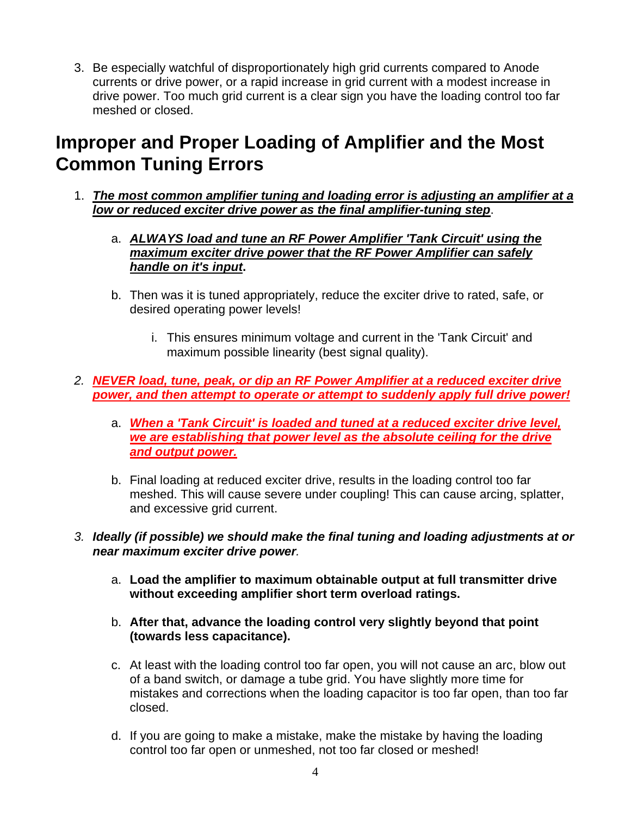3. Be especially watchful of disproportionately high grid currents compared to Anode currents or drive power, or a rapid increase in grid current with a modest increase in drive power. Too much grid current is a clear sign you have the loading control too far meshed or closed.

## **Improper and Proper Loading of Amplifier and the Most Common Tuning Errors**

- 1. *The most common amplifier tuning and loading error is adjusting an amplifier at a low or reduced exciter drive power as the final amplifier-tuning step*.
	- a. *ALWAYS load and tune an RF Power Amplifier 'Tank Circuit' using the maximum exciter drive power that the RF Power Amplifier can safely handle on it's input***.**
	- b. Then was it is tuned appropriately, reduce the exciter drive to rated, safe, or desired operating power levels!
		- i. This ensures minimum voltage and current in the 'Tank Circuit' and maximum possible linearity (best signal quality).
- *2. NEVER load, tune, peak, or dip an RF Power Amplifier at a reduced exciter drive power, and then attempt to operate or attempt to suddenly apply full drive power!*
	- a. *When a 'Tank Circuit' is loaded and tuned at a reduced exciter drive level, we are establishing that power level as the absolute ceiling for the drive and output power.*
	- b. Final loading at reduced exciter drive, results in the loading control too far meshed. This will cause severe under coupling! This can cause arcing, splatter, and excessive grid current.

#### *3. Ideally (if possible) we should make the final tuning and loading adjustments at or near maximum exciter drive power.*

- a. **Load the amplifier to maximum obtainable output at full transmitter drive without exceeding amplifier short term overload ratings.**
- b. **After that, advance the loading control very slightly beyond that point (towards less capacitance).**
- c. At least with the loading control too far open, you will not cause an arc, blow out of a band switch, or damage a tube grid. You have slightly more time for mistakes and corrections when the loading capacitor is too far open, than too far closed.
- d. If you are going to make a mistake, make the mistake by having the loading control too far open or unmeshed, not too far closed or meshed!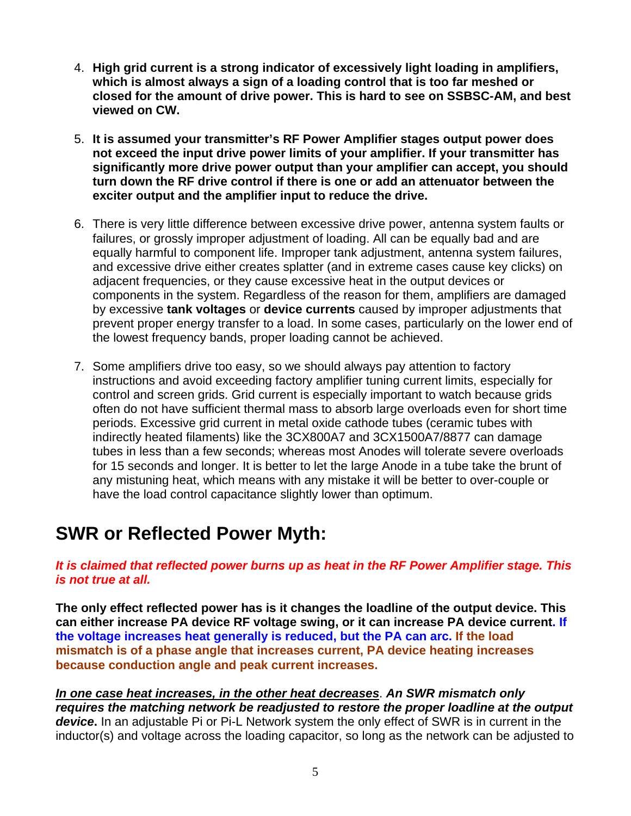- 4. **High grid current is a strong indicator of excessively light loading in amplifiers, which is almost always a sign of a loading control that is too far meshed or closed for the amount of drive power. This is hard to see on SSBSC-AM, and best viewed on CW.**
- 5. **It is assumed your transmitter's RF Power Amplifier stages output power does not exceed the input drive power limits of your amplifier. If your transmitter has significantly more drive power output than your amplifier can accept, you should turn down the RF drive control if there is one or add an attenuator between the exciter output and the amplifier input to reduce the drive.**
- 6. There is very little difference between excessive drive power, antenna system faults or failures, or grossly improper adjustment of loading. All can be equally bad and are equally harmful to component life. Improper tank adjustment, antenna system failures, and excessive drive either creates splatter (and in extreme cases cause key clicks) on adjacent frequencies, or they cause excessive heat in the output devices or components in the system. Regardless of the reason for them, amplifiers are damaged by excessive **tank voltages** or **device currents** caused by improper adjustments that prevent proper energy transfer to a load. In some cases, particularly on the lower end of the lowest frequency bands, proper loading cannot be achieved.
- 7. Some amplifiers drive too easy, so we should always pay attention to factory instructions and avoid exceeding factory amplifier tuning current limits, especially for control and screen grids. Grid current is especially important to watch because grids often do not have sufficient thermal mass to absorb large overloads even for short time periods. Excessive grid current in metal oxide cathode tubes (ceramic tubes with indirectly heated filaments) like the 3CX800A7 and 3CX1500A7/8877 can damage tubes in less than a few seconds; whereas most Anodes will tolerate severe overloads for 15 seconds and longer. It is better to let the large Anode in a tube take the brunt of any mistuning heat, which means with any mistake it will be better to over-couple or have the load control capacitance slightly lower than optimum.

## **SWR or Reflected Power Myth:**

#### *It is claimed that reflected power burns up as heat in the RF Power Amplifier stage. This is not true at all.*

**The only effect reflected power has is it changes the loadline of the output device. This can either increase PA device RF voltage swing, or it can increase PA device current. If the voltage increases heat generally is reduced, but the PA can arc. If the load mismatch is of a phase angle that increases current, PA device heating increases because conduction angle and peak current increases.** 

*In one case heat increases, in the other heat decreases*. *An SWR mismatch only requires the matching network be readjusted to restore the proper loadline at the output device***.** In an adjustable Pi or Pi-L Network system the only effect of SWR is in current in the inductor(s) and voltage across the loading capacitor, so long as the network can be adjusted to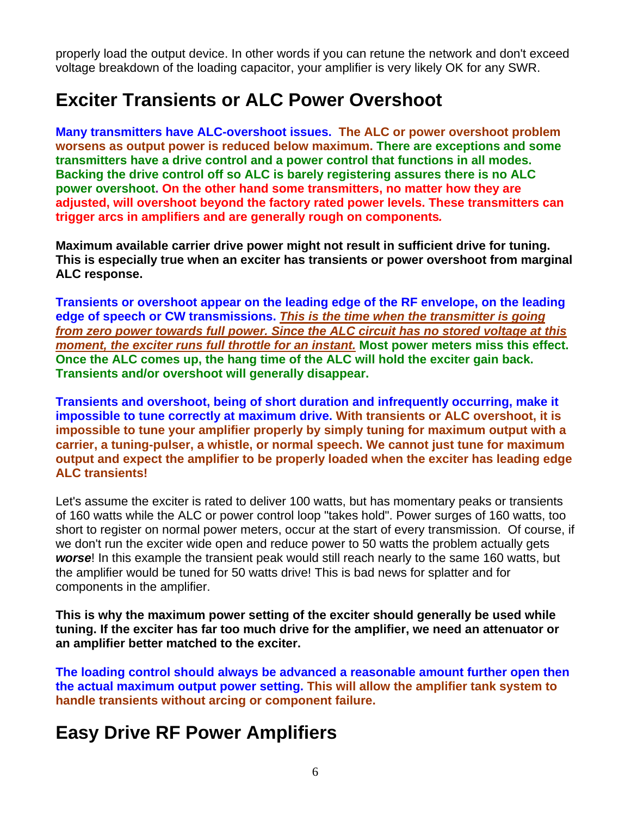properly load the output device. In other words if you can retune the network and don't exceed voltage breakdown of the loading capacitor, your amplifier is very likely OK for any SWR.

## **Exciter Transients or ALC Power Overshoot**

**Many transmitters have ALC-overshoot issues. The ALC or power overshoot problem worsens as output power is reduced below maximum. There are exceptions and some transmitters have a drive control and a power control that functions in all modes. Backing the drive control off so ALC is barely registering assures there is no ALC power overshoot. On the other hand some transmitters, no matter how they are adjusted, will overshoot beyond the factory rated power levels. These transmitters can trigger arcs in amplifiers and are generally rough on components***.*

**Maximum available carrier drive power might not result in sufficient drive for tuning. This is especially true when an exciter has transients or power overshoot from marginal ALC response.** 

**Transients or overshoot appear on the leading edge of the RF envelope, on the leading edge of speech or CW transmissions.** *This is the time when the transmitter is going from zero power towards full power. Since the ALC circuit has no stored voltage at this moment, the exciter runs full throttle for an instant.* **Most power meters miss this effect. Once the ALC comes up, the hang time of the ALC will hold the exciter gain back. Transients and/or overshoot will generally disappear.** 

**Transients and overshoot, being of short duration and infrequently occurring, make it impossible to tune correctly at maximum drive. With transients or ALC overshoot, it is impossible to tune your amplifier properly by simply tuning for maximum output with a carrier, a tuning-pulser, a whistle, or normal speech. We cannot just tune for maximum output and expect the amplifier to be properly loaded when the exciter has leading edge ALC transients!** 

Let's assume the exciter is rated to deliver 100 watts, but has momentary peaks or transients of 160 watts while the ALC or power control loop "takes hold". Power surges of 160 watts, too short to register on normal power meters, occur at the start of every transmission. Of course, if we don't run the exciter wide open and reduce power to 50 watts the problem actually gets *worse*! In this example the transient peak would still reach nearly to the same 160 watts, but the amplifier would be tuned for 50 watts drive! This is bad news for splatter and for components in the amplifier.

**This is why the maximum power setting of the exciter should generally be used while tuning. If the exciter has far too much drive for the amplifier, we need an attenuator or an amplifier better matched to the exciter.** 

**The loading control should always be advanced a reasonable amount further open then the actual maximum output power setting. This will allow the amplifier tank system to handle transients without arcing or component failure.** 

## **Easy Drive RF Power Amplifiers**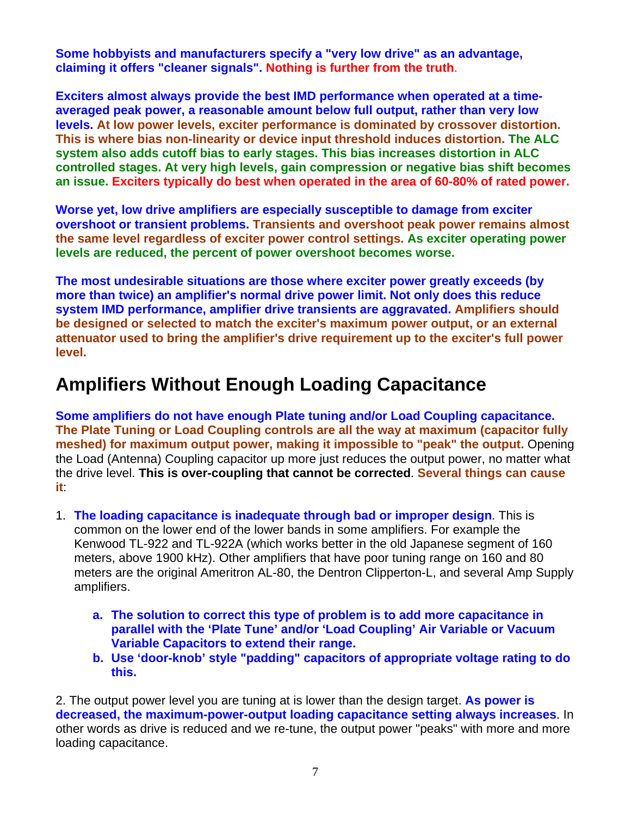**Some hobbyists and manufacturers specify a "very low drive" as an advantage, claiming it offers "cleaner signals". Nothing is further from the truth**.

**Exciters almost always provide the best IMD performance when operated at a timeaveraged peak power, a reasonable amount below full output, rather than very low levels. At low power levels, exciter performance is dominated by crossover distortion. This is where bias non-linearity or device input threshold induces distortion. The ALC system also adds cutoff bias to early stages. This bias increases distortion in ALC controlled stages. At very high levels, gain compression or negative bias shift becomes an issue. Exciters typically do best when operated in the area of 60-80% of rated power.**

**Worse yet, low drive amplifiers are especially susceptible to damage from exciter overshoot or transient problems. Transients and overshoot peak power remains almost the same level regardless of exciter power control settings. As exciter operating power levels are reduced, the percent of power overshoot becomes worse.**

**The most undesirable situations are those where exciter power greatly exceeds (by more than twice) an amplifier's normal drive power limit. Not only does this reduce system IMD performance, amplifier drive transients are aggravated. Amplifiers should be designed or selected to match the exciter's maximum power output, or an external attenuator used to bring the amplifier's drive requirement up to the exciter's full power level.**

## **Amplifiers Without Enough Loading Capacitance**

**Some amplifiers do not have enough Plate tuning and/or Load Coupling capacitance. The Plate Tuning or Load Coupling controls are all the way at maximum (capacitor fully meshed) for maximum output power, making it impossible to "peak" the output.** Opening the Load (Antenna) Coupling capacitor up more just reduces the output power, no matter what the drive level. **This is over-coupling that cannot be corrected**. **Several things can cause it**:

- 1. **The loading capacitance is inadequate through bad or improper design**. This is common on the lower end of the lower bands in some amplifiers. For example the Kenwood TL-922 and TL-922A (which works better in the old Japanese segment of 160 meters, above 1900 kHz). Other amplifiers that have poor tuning range on 160 and 80 meters are the original Ameritron AL-80, the Dentron Clipperton-L, and several Amp Supply amplifiers.
	- **a. The solution to correct this type of problem is to add more capacitance in parallel with the 'Plate Tune' and/or 'Load Coupling' Air Variable or Vacuum Variable Capacitors to extend their range.**
	- **b. Use 'door-knob' style "padding" capacitors of appropriate voltage rating to do this.**

2. The output power level you are tuning at is lower than the design target. **As power is decreased, the maximum-power-output loading capacitance setting always increases**. In other words as drive is reduced and we re-tune, the output power "peaks" with more and more loading capacitance.